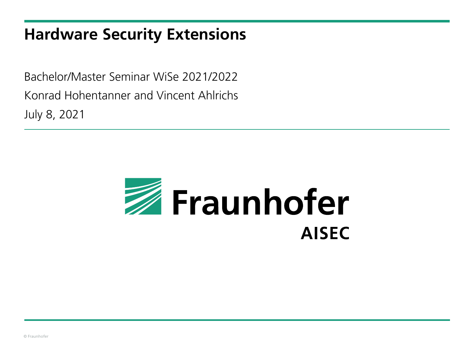### **Hardware Security Extensions**

Bachelor/Master Seminar WiSe 2021/2022 Konrad Hohentanner and Vincent Ahlrichs July 8, 2021

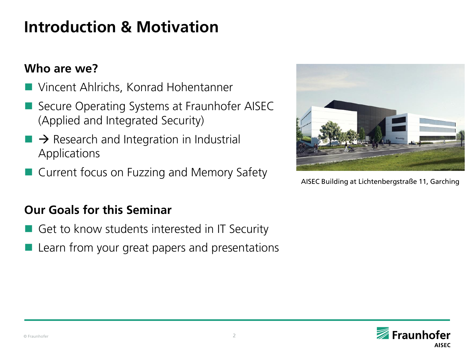# **Introduction & Motivation**

### **Who are we?**

- Vincent Ahlrichs, Konrad Hohentanner
- Secure Operating Systems at Fraunhofer AISEC (Applied and Integrated Security)
- $\rightarrow$  Research and Integration in Industrial Applications
- Current focus on Fuzzing and Memory Safety

#### **Our Goals for this Seminar**

- Get to know students interested in IT Security
- Learn from your great papers and presentations



AISEC Building at Lichtenbergstraße 11, Garching

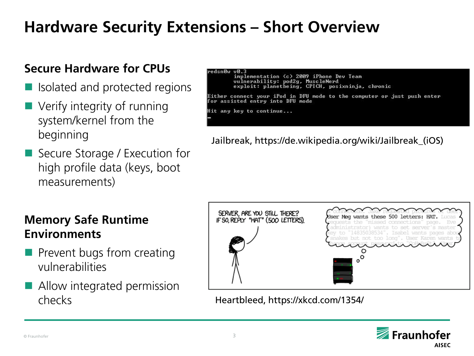# **Hardware Security Extensions – Short Overview**

### **Secure Hardware for CPUs**

- Isolated and protected regions
- Verify integrity of running system/kernel from the beginning
- Secure Storage / Execution for high profile data (keys, boot measurements)

### **Memory Safe Runtime Environments**

- $\blacksquare$  Prevent bugs from creating vulnerabilities
- Allow integrated permission

redsnØw vØ.3

implementation (c) 2009 iPhone Dev Team vulnerability: pod2g, MuscleNerd exploit: planetheing, CPICH, posixninja, chronic

Either connect your iPod in DFU mode to the computer or just push enter for assisted entry into DFU mode

Hit any key to continue...

Jailbreak, https://de.wikipedia.org/wiki/Jailbreak\_(iOS)

| SERVER, ARE YOU STILL THERE?<br>IF SO, REPLY "HAT" (500 LETTERS). | User Meg wants these 500 letters: HAT. Lucas<br>requests the "missed connections" page.<br>Eve                                                                                     |
|-------------------------------------------------------------------|------------------------------------------------------------------------------------------------------------------------------------------------------------------------------------|
|                                                                   | administrator) wants to set server's master<br>key to "14835038534". Isabel wants pages abou<br>snakes but not too long". User Karen wants t<br>unde account password, to CollaBac |
|                                                                   |                                                                                                                                                                                    |

checks Heartbleed, https://xkcd.com/1354/

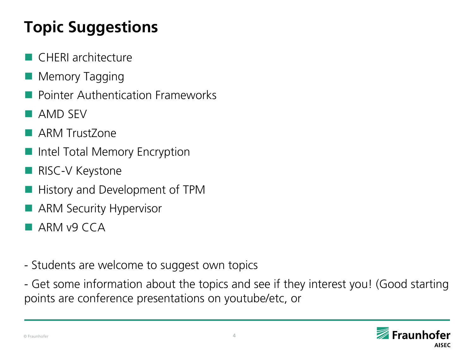# **Topic Suggestions**

- CHERI architecture
- Memory Tagging
- Pointer Authentication Frameworks
- **AMD SEV**
- **ARM TrustZone**
- Intel Total Memory Encryption
- **RISC-V Keystone**
- History and Development of TPM
- **ARM Security Hypervisor**
- $A$ RM v9 CCA
- Students are welcome to suggest own topics
- Get some information about the topics and see if they interest you! (Good starting points are conference presentations on youtube/etc, or

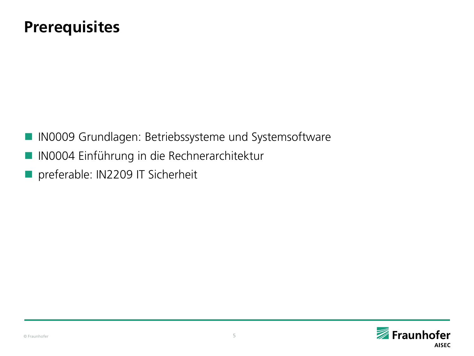## **Prerequisites**

- **IN0009 Grundlagen: Betriebssysteme und Systemsoftware**
- IN0004 Einführung in die Rechnerarchitektur
- **Parable: IN2209 IT Sicherheit**

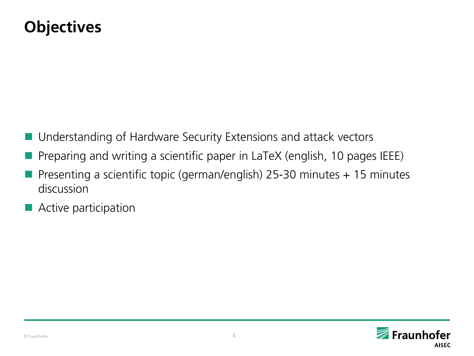# **Objectives**

- Understanding of Hardware Security Extensions and attack vectors
- Preparing and writing a scientific paper in LaTeX (english, 10 pages IEEE)
- Presenting a scientific topic (german/english) 25-30 minutes + 15 minutes discussion
- **Active participation**

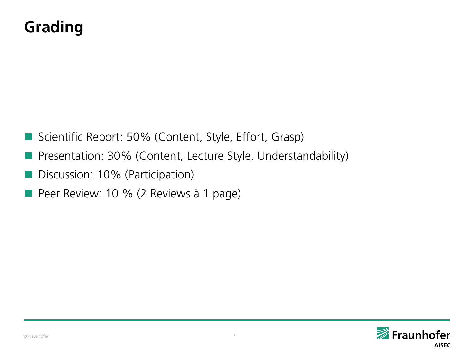# **Grading**

- Scientific Report: 50% (Content, Style, Effort, Grasp)
- **Presentation: 30% (Content, Lecture Style, Understandability)**
- Discussion: 10% (Participation)
- Peer Review: 10 % (2 Reviews à 1 page)

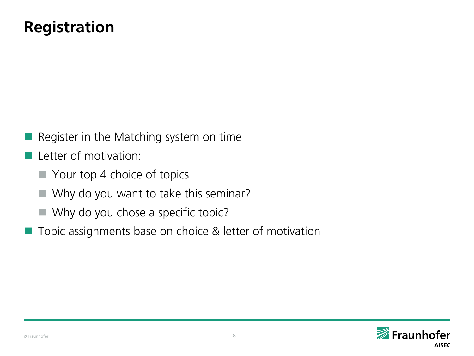# **Registration**

- Register in the Matching system on time
- **L** Letter of motivation:
	- Your top 4 choice of topics
	- Why do you want to take this seminar?
	- Why do you chose a specific topic?
- Topic assignments base on choice & letter of motivation

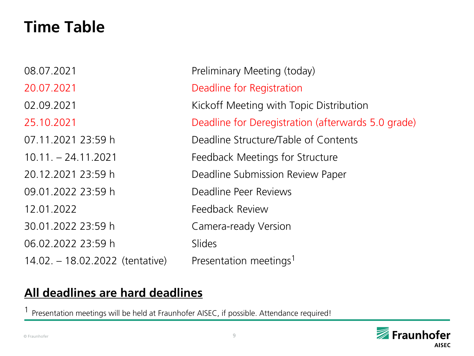# **Time Table**

| 08.07.2021                      | Preliminary Meeting (today)                        |
|---------------------------------|----------------------------------------------------|
| 20.07.2021                      | Deadline for Registration                          |
| 02.09.2021                      | Kickoff Meeting with Topic Distribution            |
| 25.10.2021                      | Deadline for Deregistration (afterwards 5.0 grade) |
| 07.11.2021 23:59 h              | Deadline Structure/Table of Contents               |
| $10.11 - 24.11.2021$            | Feedback Meetings for Structure                    |
| 20.12.2021 23:59 h              | Deadline Submission Review Paper                   |
| 09.01.2022 23:59 h              | Deadline Peer Reviews                              |
| 12.01.2022                      | Feedback Review                                    |
| 30.01.2022 23:59 h              | Camera-ready Version                               |
| 06.02.2022 23:59 h              | <b>Slides</b>                                      |
| 14.02. - 18.02.2022 (tentative) | Presentation meetings <sup>1</sup>                 |

### **All deadlines are hard deadlines**

1 Presentation meetings will be held at Fraunhofer AISEC, if possible. Attendance required!